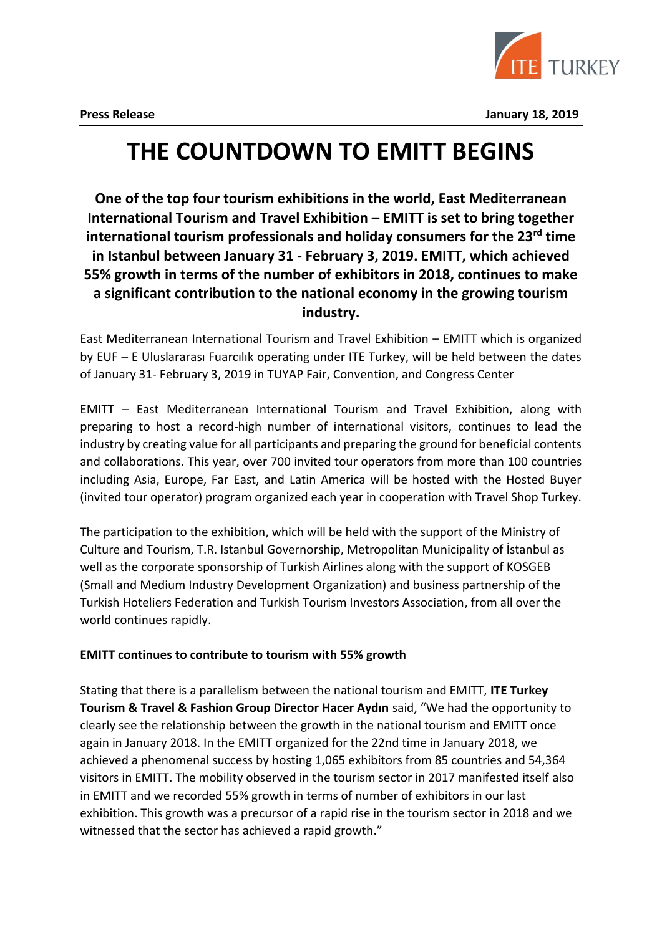

**Press Release January 18, 2019**

# **THE COUNTDOWN TO EMITT BEGINS**

**One of the top four tourism exhibitions in the world, East Mediterranean International Tourism and Travel Exhibition – EMITT is set to bring together international tourism professionals and holiday consumers for the 23rd time in Istanbul between January 31 - February 3, 2019. EMITT, which achieved 55% growth in terms of the number of exhibitors in 2018, continues to make a significant contribution to the national economy in the growing tourism industry.**

East Mediterranean International Tourism and Travel Exhibition – EMITT which is organized by EUF – E Uluslararası Fuarcılık operating under ITE Turkey, will be held between the dates of January 31- February 3, 2019 in TUYAP Fair, Convention, and Congress Center

EMITT – East Mediterranean International Tourism and Travel Exhibition, along with preparing to host a record-high number of international visitors, continues to lead the industry by creating value for all participants and preparing the ground for beneficial contents and collaborations. This year, over 700 invited tour operators from more than 100 countries including Asia, Europe, Far East, and Latin America will be hosted with the Hosted Buyer (invited tour operator) program organized each year in cooperation with Travel Shop Turkey.

The participation to the exhibition, which will be held with the support of the Ministry of Culture and Tourism, T.R. Istanbul Governorship, Metropolitan Municipality of İstanbul as well as the corporate sponsorship of Turkish Airlines along with the support of KOSGEB (Small and Medium Industry Development Organization) and business partnership of the Turkish Hoteliers Federation and Turkish Tourism Investors Association, from all over the world continues rapidly.

# **EMITT continues to contribute to tourism with 55% growth**

Stating that there is a parallelism between the national tourism and EMITT, **ITE Turkey Tourism & Travel & Fashion Group Director Hacer Aydın** said, "We had the opportunity to clearly see the relationship between the growth in the national tourism and EMITT once again in January 2018. In the EMITT organized for the 22nd time in January 2018, we achieved a phenomenal success by hosting 1,065 exhibitors from 85 countries and 54,364 visitors in EMITT. The mobility observed in the tourism sector in 2017 manifested itself also in EMITT and we recorded 55% growth in terms of number of exhibitors in our last exhibition. This growth was a precursor of a rapid rise in the tourism sector in 2018 and we witnessed that the sector has achieved a rapid growth."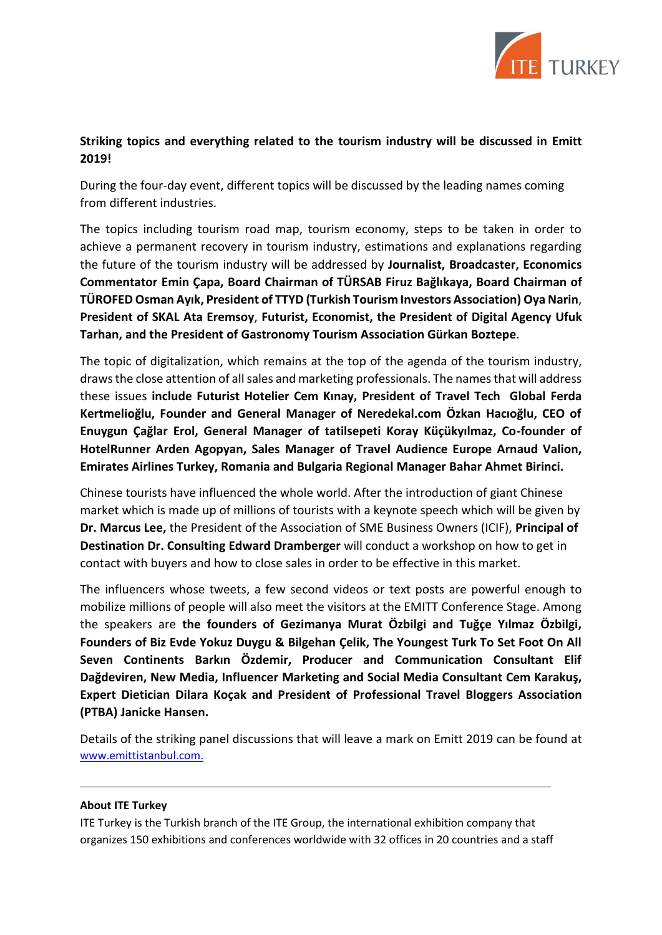

# **Striking topics and everything related to the tourism industry will be discussed in Emitt 2019!**

During the four-day event, different topics will be discussed by the leading names coming from different industries.

The topics including tourism road map, tourism economy, steps to be taken in order to achieve a permanent recovery in tourism industry, estimations and explanations regarding the future of the tourism industry will be addressed by **Journalist, Broadcaster, Economics Commentator Emin Çapa, Board Chairman of TÜRSAB Firuz Bağlıkaya, Board Chairman of TÜROFED Osman Ayık, President of TTYD (Turkish Tourism Investors Association) Oya Narin**, **President of SKAL Ata Eremsoy**, **Futurist, Economist, the President of Digital Agency Ufuk Tarhan, and the President of Gastronomy Tourism Association Gürkan Boztepe**.

The topic of digitalization, which remains at the top of the agenda of the tourism industry, draws the close attention of all sales and marketing professionals. The names that will address these issues **include Futurist Hotelier Cem Kınay, President of Travel Tech Global Ferda Kertmelioğlu, Founder and General Manager of Neredekal.com Özkan Hacıoğlu, CEO of Enuygun Çağlar Erol, General Manager of tatilsepeti Koray Küçükyılmaz, Co-founder of HotelRunner Arden Agopyan, Sales Manager of Travel Audience Europe Arnaud Valion, Emirates Airlines Turkey, Romania and Bulgaria Regional Manager Bahar Ahmet Birinci.**

Chinese tourists have influenced the whole world. After the introduction of giant Chinese market which is made up of millions of tourists with a keynote speech which will be given by **Dr. Marcus Lee,** the President of the Association of SME Business Owners (ICIF), **Principal of Destination Dr. Consulting Edward Dramberger** will conduct a workshop on how to get in contact with buyers and how to close sales in order to be effective in this market.

The influencers whose tweets, a few second videos or text posts are powerful enough to mobilize millions of people will also meet the visitors at the EMITT Conference Stage. Among the speakers are **the founders of Gezimanya Murat Özbilgi and Tuğçe Yılmaz Özbilgi, Founders of Biz Evde Yokuz Duygu & Bilgehan Çelik, The Youngest Turk To Set Foot On All Seven Continents Barkın Özdemir, Producer and Communication Consultant Elif Dağdeviren, New Media, Influencer Marketing and Social Media Consultant Cem Karakuş, Expert Dietician Dilara Koçak and President of Professional Travel Bloggers Association (PTBA) Janicke Hansen.**

Details of the striking panel discussions that will leave a mark on Emitt 2019 can be found at www.emittistanbul.com.

#### **About ITE Turkey**

ITE Turkey is the Turkish branch of the ITE Group, the international exhibition company that organizes 150 exhibitions and conferences worldwide with 32 offices in 20 countries and a staff